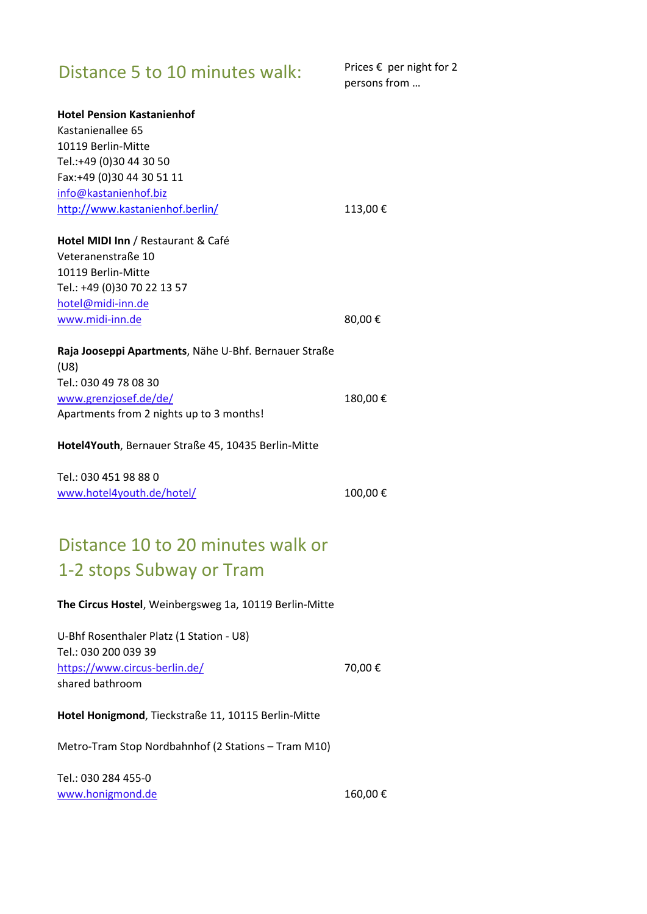## Distance 5 to 10 minutes walk: Prices  $\epsilon$  per night for 2

persons from …

| <b>Hotel Pension Kastanienhof</b>                             |         |
|---------------------------------------------------------------|---------|
| Kastanienallee 65                                             |         |
| 10119 Berlin-Mitte                                            |         |
| Tel.:+49 (0)30 44 30 50                                       |         |
| Fax:+49 (0)30 44 30 51 11                                     |         |
| info@kastanienhof.biz                                         |         |
| http://www.kastanienhof.berlin/                               | 113,00€ |
| Hotel MIDI Inn / Restaurant & Café                            |         |
| Veteranenstraße 10                                            |         |
| 10119 Berlin-Mitte                                            |         |
| Tel.: +49 (0)30 70 22 13 57                                   |         |
| hotel@midi-inn.de                                             |         |
| www.midi-inn.de                                               | 80,00€  |
| Raja Jooseppi Apartments, Nähe U-Bhf. Bernauer Straße<br>(U8) |         |
| Tel.: 030 49 78 08 30                                         |         |
| www.grenzjosef.de/de/                                         | 180,00€ |
| Apartments from 2 nights up to 3 months!                      |         |
| Hotel4Youth, Bernauer Straße 45, 10435 Berlin-Mitte           |         |
| Tel.: 030 451 98 88 0                                         |         |
| www.hotel4youth.de/hotel/                                     | 100,00€ |
|                                                               |         |
| Distance 10 to 20 minutes walk or                             |         |
| 1-2 stops Subway or Tram                                      |         |
| The Circus Hostel, Weinbergsweg 1a, 10119 Berlin-Mitte        |         |
| U-Bhf Rosenthaler Platz (1 Station - U8)                      |         |
| Tel.: 030 200 039 39                                          |         |
| https://www.circus-berlin.de/                                 | 70,00€  |
| shared bathroom                                               |         |
|                                                               |         |
| Hotel Honigmond, Tieckstraße 11, 10115 Berlin-Mitte           |         |
| Metro-Tram Stop Nordbahnhof (2 Stations - Tram M10)           |         |
| Tel.: 030 284 455-0                                           |         |

[www.honigmond.de](http://www.honigmond.de/) 160,00 €